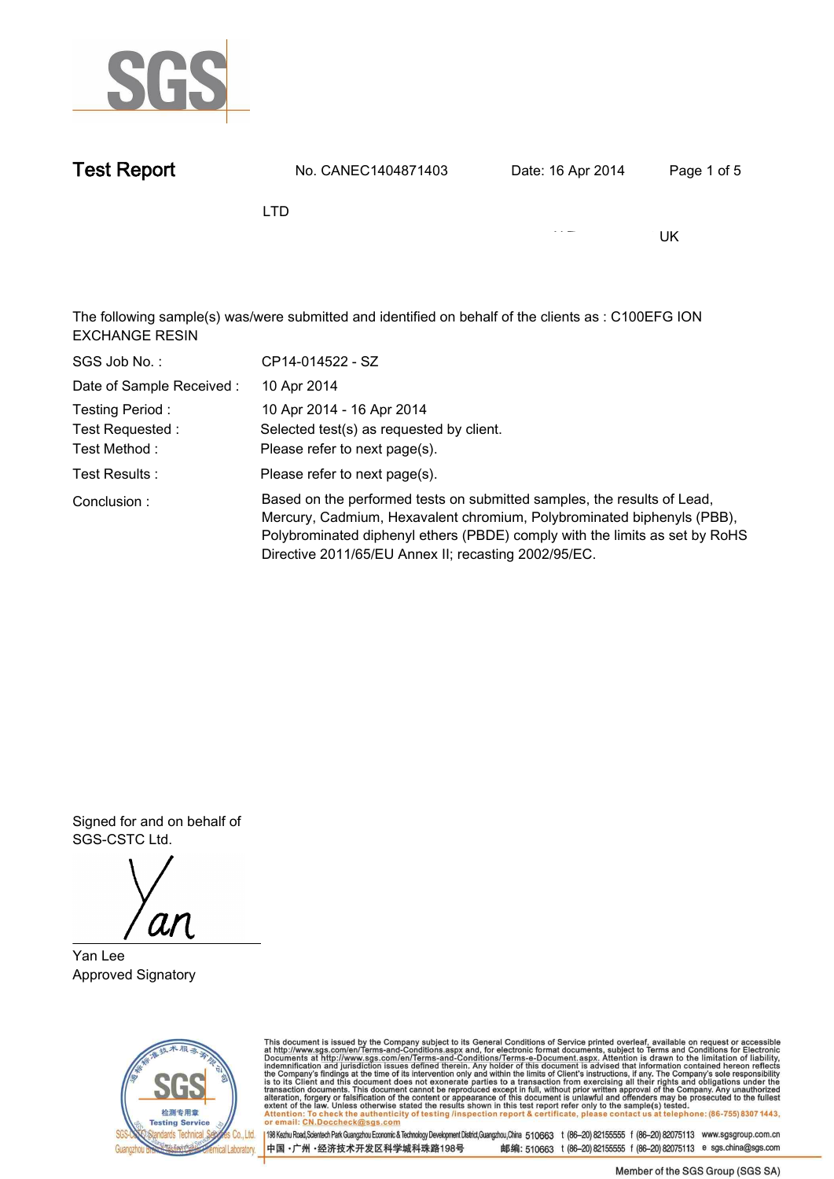

| <b>Test Report</b>                                                                                                           | No. CANEC1404871403 | Date: 16 Apr 2014 | Page 1 of 5 |  |  |  |
|------------------------------------------------------------------------------------------------------------------------------|---------------------|-------------------|-------------|--|--|--|
|                                                                                                                              | <b>LTD</b>          |                   |             |  |  |  |
|                                                                                                                              |                     |                   | UK          |  |  |  |
|                                                                                                                              |                     |                   |             |  |  |  |
| The following sample(s) was/were submitted and identified on behalf of the clients as : C100EFG ION<br><b>EXCHANGE RESIN</b> |                     |                   |             |  |  |  |

| SGS Job No.:             | CP14-014522 - SZ                                                                                                                                                                                                                                                                         |
|--------------------------|------------------------------------------------------------------------------------------------------------------------------------------------------------------------------------------------------------------------------------------------------------------------------------------|
| Date of Sample Received: | 10 Apr 2014                                                                                                                                                                                                                                                                              |
| Testing Period:          | 10 Apr 2014 - 16 Apr 2014                                                                                                                                                                                                                                                                |
| Test Requested :         | Selected test(s) as requested by client.                                                                                                                                                                                                                                                 |
| Test Method :            | Please refer to next page(s).                                                                                                                                                                                                                                                            |
| Test Results :           | Please refer to next page(s).                                                                                                                                                                                                                                                            |
| Conclusion:              | Based on the performed tests on submitted samples, the results of Lead,<br>Mercury, Cadmium, Hexavalent chromium, Polybrominated biphenyls (PBB),<br>Polybrominated diphenyl ethers (PBDE) comply with the limits as set by RoHS<br>Directive 2011/65/EU Annex II; recasting 2002/95/EC. |

**Signed for and on behalf of SGS-CSTC Ltd..**

ar

**Yan Lee . Approved Signatory.**



This document is issued by the Company subject to its General Conditions of Service printed overleaf, available on request or accessible at http://www.sgs.com/en/Terms-and-Conditions.aspx and, for electronic format docume

中国·广州·经济技术开发区科学城科珠路198号

198 Kezhu Road,Scientech Park Guangzhou Economic & Technology Development District,Guangzhou,China 510663 t (86-20) 82155555 f (86-20) 82075113 www.sgsgroup.com.cn 邮编: 510663 t (86-20) 82155555 f (86-20) 82075113 e sgs.china@sgs.com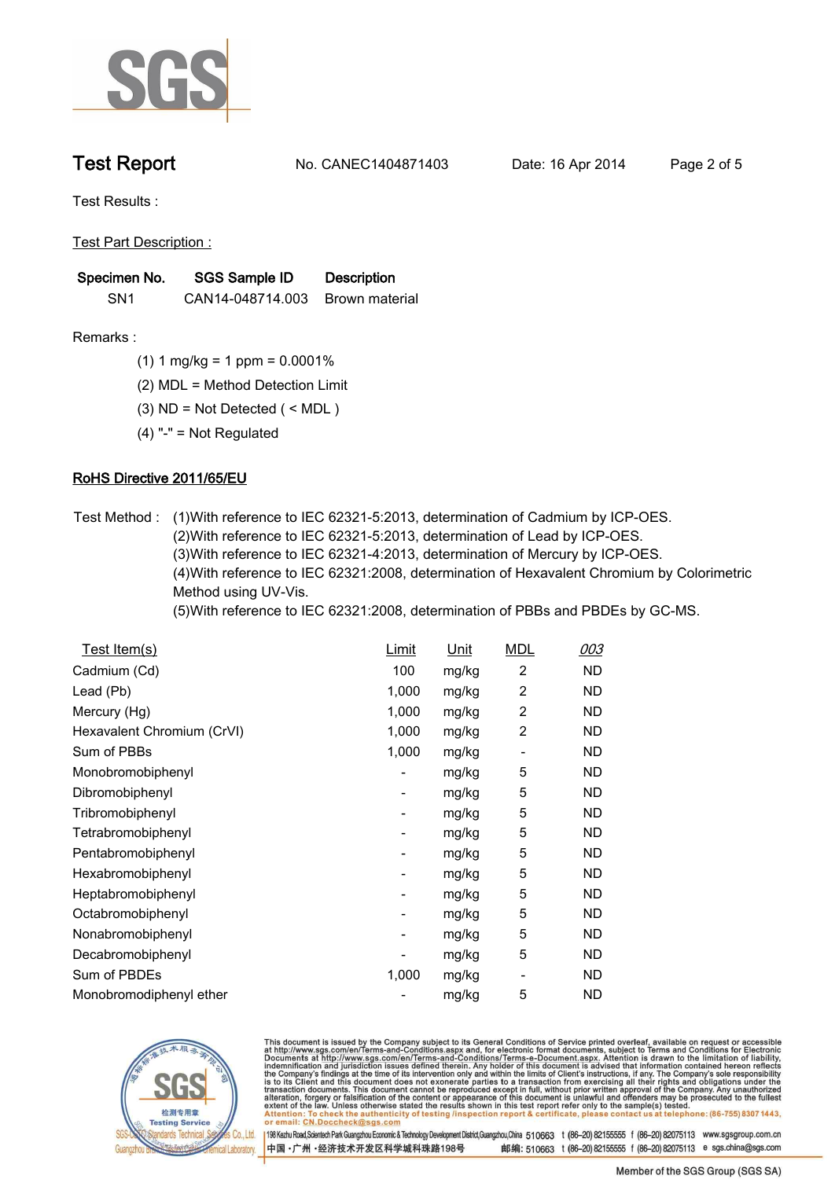

**Test Report. No. CANEC1404871403 Date: 16 Apr 2014. Page 2 of 5.**

**Test Results :.**

**Test Part Description :.**

| Specimen No.    | <b>SGS Sample ID</b> | <b>Description</b> |
|-----------------|----------------------|--------------------|
| SN <sub>1</sub> | CAN14-048714.003     | Brown material     |

- **Remarks :.(1) 1 mg/kg = 1 ppm = 0.0001%.**
	- **(2) MDL = Method Detection Limit.**
	- **(3) ND = Not Detected ( < MDL ).**
	- **(4) "-" = Not Regulated.**

## **RoHS Directive 2011/65/EU.**

**Test Method :. (1)With reference to IEC 62321-5:2013, determination of Cadmium by ICP-OES. (2)With reference to IEC 62321-5:2013, determination of Lead by ICP-OES. (3)With reference to IEC 62321-4:2013, determination of Mercury by ICP-OES. (4)With reference to IEC 62321:2008, determination of Hexavalent Chromium by Colorimetric Method using UV-Vis.**

**(5)With reference to IEC 62321:2008, determination of PBBs and PBDEs by GC-MS..**

| Test Item(s)               | <u>Limit</u> | <u>Unit</u> | <b>MDL</b>     | 003       |
|----------------------------|--------------|-------------|----------------|-----------|
| Cadmium (Cd)               | 100          | mg/kg       | $\overline{2}$ | ND        |
| Lead (Pb)                  | 1,000        | mg/kg       | 2              | <b>ND</b> |
| Mercury (Hg)               | 1,000        | mg/kg       | 2              | ND        |
| Hexavalent Chromium (CrVI) | 1,000        | mg/kg       | 2              | ND        |
| Sum of PBBs                | 1,000        | mg/kg       |                | ND        |
| Monobromobiphenyl          |              | mg/kg       | 5              | ND        |
| Dibromobiphenyl            | -            | mg/kg       | 5              | ND        |
| Tribromobiphenyl           | -            | mg/kg       | 5              | ND        |
| Tetrabromobiphenyl         |              | mg/kg       | 5              | ND        |
| Pentabromobiphenyl         |              | mg/kg       | 5              | ND        |
| Hexabromobiphenyl          |              | mg/kg       | 5              | <b>ND</b> |
| Heptabromobiphenyl         |              | mg/kg       | 5              | <b>ND</b> |
| Octabromobiphenyl          |              | mg/kg       | 5              | ND        |
| Nonabromobiphenyl          |              | mg/kg       | 5              | ND        |
| Decabromobiphenyl          |              | mg/kg       | 5              | ND        |
| Sum of PBDEs               | 1,000        | mg/kg       |                | ND        |
| Monobromodiphenyl ether    |              | mg/kg       | 5              | <b>ND</b> |



This document is issued by the Company subject to its General Conditions of Service printed overleaf, available on request or accessible at http://www.sgs.com/en/Terms-and-Conditions.aspx and, for electronic format documen

198 Kezhu Road,Scientech Park Guangzhou Economic & Technology Development District,Guangzhou,China 510663 t (86-20) 82155555 f (86-20) 82075113 www.sgsgroup.com.cn 中国·广州·经济技术开发区科学城科珠路198号 邮编: 510663 t (86-20) 82155555 f (86-20) 82075113 e sgs.china@sgs.com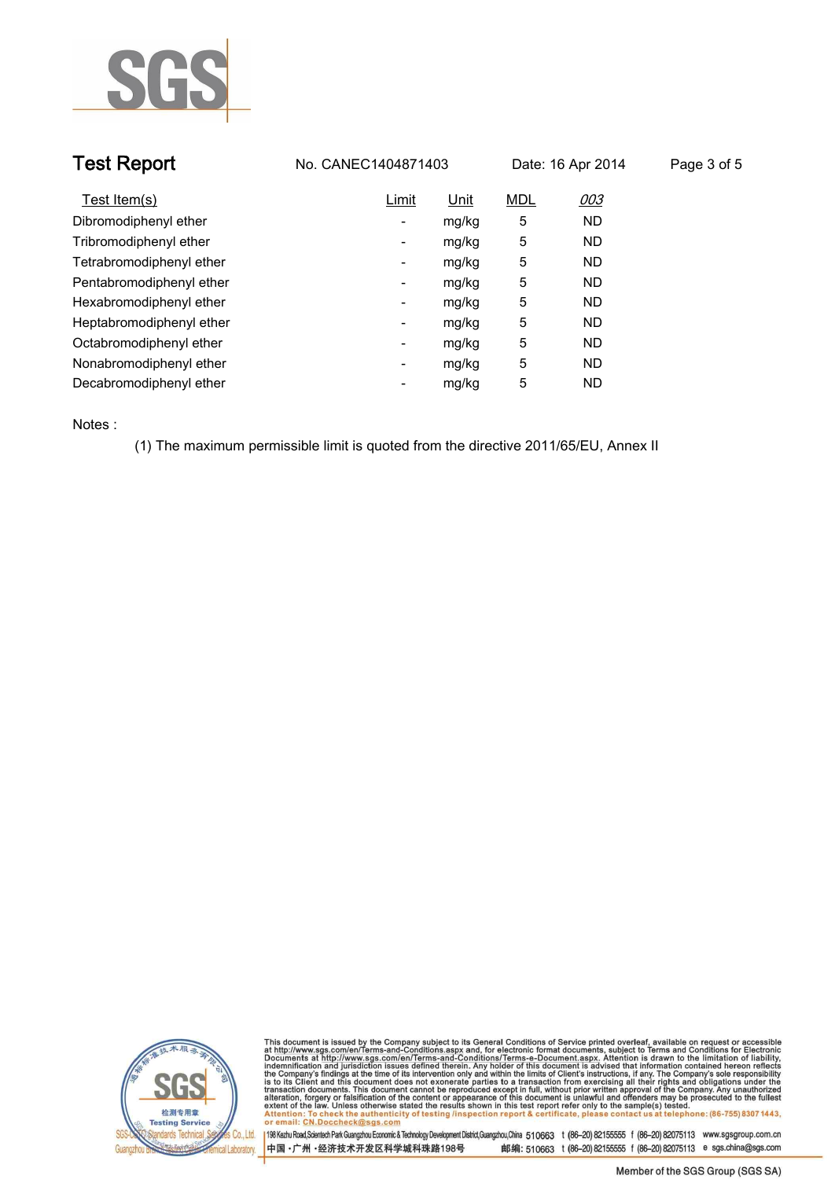

| <b>Test Report</b>       | No. CANEC1404871403 |       |            | Date: 16 Apr 2014 | Page 3 of 5 |
|--------------------------|---------------------|-------|------------|-------------------|-------------|
| Test Item(s)             | Limit               | Unit  | <b>MDL</b> | 003               |             |
| Dibromodiphenyl ether    | ٠                   | mg/kg | 5          | <b>ND</b>         |             |
| Tribromodiphenyl ether   | ٠                   | mg/kg | 5          | <b>ND</b>         |             |
| Tetrabromodiphenyl ether | ٠                   | mg/kg | 5          | <b>ND</b>         |             |
| Pentabromodiphenyl ether | Ξ.                  | mg/kg | 5          | <b>ND</b>         |             |
| Hexabromodiphenyl ether  | Ξ.                  | mg/kg | 5          | <b>ND</b>         |             |
| Heptabromodiphenyl ether | ٠                   | mg/kg | 5          | <b>ND</b>         |             |
| Octabromodiphenyl ether  | -                   | mg/kg | 5          | <b>ND</b>         |             |
| Nonabromodiphenyl ether  | ٠                   | mg/kg | 5          | <b>ND</b>         |             |
| Decabromodiphenyl ether  | $\blacksquare$      | mg/kg | 5          | <b>ND</b>         |             |

**Notes :.**

**(1) The maximum permissible limit is quoted from the directive 2011/65/EU, Annex II.**



This document is issued by the Company subject to its General Conditions of Service printed overleaf, available on request or accessible at http://www.sgs.com/en/Terms-and-Conditions.aspx and, for electronic format docume

198 Kezhu Road,Scientech Park Guangzhou Economic & Technology Development District,Guangzhou,China 510663 t (86-20) 82155555 f (86-20) 82075113 www.sgsgroup.com.cn 邮编: 510663 t (86-20) 82155555 f (86-20) 82075113 e sgs.china@sgs.com 中国·广州·经济技术开发区科学城科珠路198号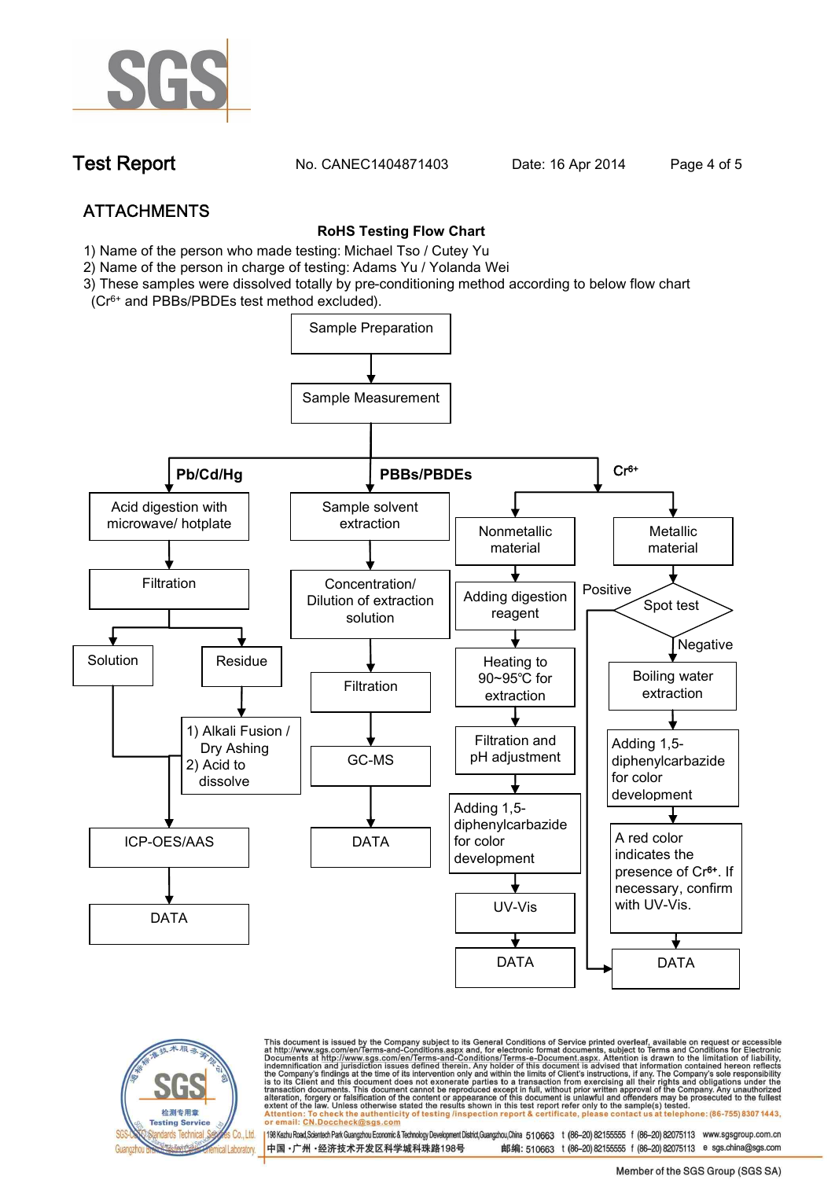

**Test Report. No. CANEC1404871403** Date: 16 Apr 2014 Page 4 of 5

# **ATTACHMENTS**

### **RoHS Testing Flow Chart**

- **1) Name of the person who made testing: Michael Tso / Cutey Yu**
- **2) Name of the person in charge of testing: Adams Yu / Yolanda Wei**
- **3) These samples were dissolved totally by pre-conditioning method according to below flow chart (Cr6+ and PBBs/PBDEs test method excluded).**



检测专用章 **Testing Service** Standards Technical Co., Ltd. ical Laboratory. This document is issued by the Company subject to its General Conditions of Service printed overleaf, available on request or accessible at http://www.sgs.com/en/Terms-and-Conditions.aspx and, for electronic format docume CN.Doccheck@sas.com

198 Kezhu Road,Scientech Park Guangzhou Economic & Technology Development District,Guangzhou,China 510663 t (86-20) 82155555 f (86-20) 82075113 www.sgsgroup.com.cn 中国·广州·经济技术开发区科学城科珠路198号 邮编: 510663 t (86-20) 82155555 f (86-20) 82075113 e sgs.china@sgs.com